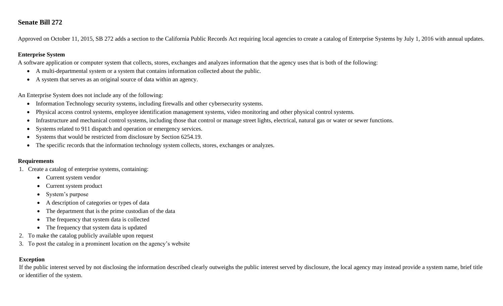# **Senate Bill 272**

Approved on October 11, 2015, SB 272 adds a section to the California Public Records Act requiring local agencies to create a catalog of Enterprise Systems by July 1, 2016 with annual updates.

## **Enterprise System**

A software application or computer system that collects, stores, exchanges and analyzes information that the agency uses that is both of the following:

- A multi-departmental system or a system that contains information collected about the public.
- A system that serves as an original source of data within an agency.

An Enterprise System does not include any of the following:

- Information Technology security systems, including firewalls and other cybersecurity systems.
- Physical access control systems, employee identification management systems, video monitoring and other physical control systems.
- Infrastructure and mechanical control systems, including those that control or manage street lights, electrical, natural gas or water or sewer functions.
- Systems related to 911 dispatch and operation or emergency services.
- Systems that would be restricted from disclosure by Section 6254.19.
- The specific records that the information technology system collects, stores, exchanges or analyzes.

#### **Requirements**

- 1. Create a catalog of enterprise systems, containing:
	- Current system vendor
	- Current system product
	- System's purpose
	- A description of categories or types of data
	- The department that is the prime custodian of the data
	- The frequency that system data is collected
	- The frequency that system data is updated
- 2. To make the catalog publicly available upon request
- 3. To post the catalog in a prominent location on the agency's website

## **Exception**

If the public interest served by not disclosing the information described clearly outweighs the public interest served by disclosure, the local agency may instead provide a system name, brief title or identifier of the system.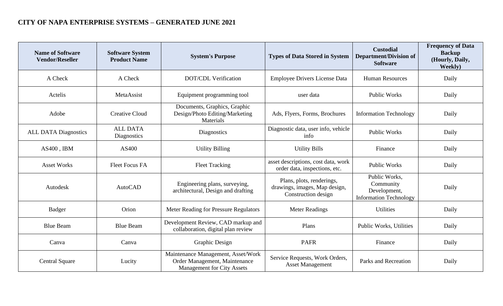# **CITY OF NAPA ENTERPRISE SYSTEMS – GENERATED JUNE 2021**

| <b>Name of Software</b><br><b>Vendor/Reseller</b> | <b>Software System</b><br><b>Product Name</b> | <b>System's Purpose</b>                                                                                  | <b>Types of Data Stored in System</b>                                             | <b>Custodial</b><br><b>Department/Division of</b><br><b>Software</b>        | <b>Frequency of Data</b><br><b>Backup</b><br>(Hourly, Daily,<br>Weekly) |
|---------------------------------------------------|-----------------------------------------------|----------------------------------------------------------------------------------------------------------|-----------------------------------------------------------------------------------|-----------------------------------------------------------------------------|-------------------------------------------------------------------------|
| A Check                                           | A Check                                       | <b>DOT/CDL Verification</b>                                                                              | <b>Employee Drivers License Data</b>                                              | <b>Human Resources</b>                                                      | Daily                                                                   |
| Actelis                                           | MetaAssist                                    | Equipment programming tool                                                                               | user data                                                                         | <b>Public Works</b>                                                         | Daily                                                                   |
| Adobe                                             | <b>Creative Cloud</b>                         | Documents, Graphics, Graphic<br>Design/Photo Editing/Marketing<br>Materials                              | Ads, Flyers, Forms, Brochures                                                     | <b>Information Technology</b>                                               | Daily                                                                   |
| <b>ALL DATA Diagnostics</b>                       | <b>ALL DATA</b><br>Diagnostics                | Diagnostics                                                                                              | Diagnostic data, user info, vehicle<br>info                                       | <b>Public Works</b>                                                         | Daily                                                                   |
| AS400, IBM                                        | AS400                                         | <b>Utility Billing</b>                                                                                   | <b>Utility Bills</b>                                                              | Finance                                                                     | Daily                                                                   |
| <b>Asset Works</b>                                | <b>Fleet Focus FA</b>                         | <b>Fleet Tracking</b>                                                                                    | asset descriptions, cost data, work<br>order data, inspections, etc.              | <b>Public Works</b>                                                         | Daily                                                                   |
| Autodesk                                          | <b>AutoCAD</b>                                | Engineering plans, surveying,<br>architectural, Design and drafting                                      | Plans, plots, renderings,<br>drawings, images, Map design,<br>Construction design | Public Works,<br>Community<br>Development,<br><b>Information Technology</b> | Daily                                                                   |
| <b>Badger</b>                                     | Orion                                         | Meter Reading for Pressure Regulators                                                                    | <b>Meter Readings</b>                                                             | <b>Utilities</b>                                                            | Daily                                                                   |
| <b>Blue Beam</b>                                  | <b>Blue Beam</b>                              | Development Review, CAD markup and<br>collaboration, digital plan review                                 | Plans                                                                             | Public Works, Utilities                                                     | Daily                                                                   |
| Canva                                             | Canva                                         | <b>Graphic Design</b>                                                                                    | <b>PAFR</b>                                                                       | Finance                                                                     | Daily                                                                   |
| <b>Central Square</b>                             | Lucity                                        | Maintenance Management, Asset/Work<br>Order Management, Maintenance<br><b>Management for City Assets</b> | Service Requests, Work Orders,<br><b>Asset Management</b>                         | Parks and Recreation                                                        | Daily                                                                   |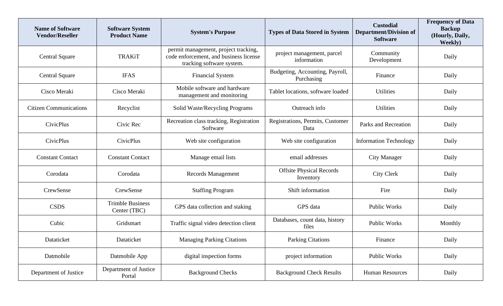| <b>Name of Software</b><br><b>Vendor/Reseller</b> | <b>Software System</b><br><b>Product Name</b> | <b>System's Purpose</b>                                                                                     | <b>Types of Data Stored in System</b>         | <b>Custodial</b><br><b>Department/Division of</b><br><b>Software</b> | <b>Frequency of Data</b><br><b>Backup</b><br>(Hourly, Daily,<br><b>Weekly</b> ) |
|---------------------------------------------------|-----------------------------------------------|-------------------------------------------------------------------------------------------------------------|-----------------------------------------------|----------------------------------------------------------------------|---------------------------------------------------------------------------------|
| <b>Central Square</b>                             | <b>TRAKiT</b>                                 | permit management, project tracking,<br>code enforcement, and business license<br>tracking software system. | project management, parcel<br>information     | Community<br>Development                                             | Daily                                                                           |
| <b>Central Square</b>                             | <b>IFAS</b>                                   | <b>Financial System</b>                                                                                     | Budgeting, Accounting, Payroll,<br>Purchasing | Finance                                                              | Daily                                                                           |
| Cisco Meraki                                      | Cisco Meraki                                  | Mobile software and hardware<br>management and monitoring                                                   | Tablet locations, software loaded             | <b>Utilities</b>                                                     | Daily                                                                           |
| <b>Citizen Communications</b>                     | Recyclist                                     | Solid Waste/Recycling Programs                                                                              | Outreach info                                 | <b>Utilities</b>                                                     | Daily                                                                           |
| <b>CivicPlus</b>                                  | Civic Rec                                     | Recreation class tracking, Registration<br>Software                                                         | Registrations, Permits, Customer<br>Data      | Parks and Recreation                                                 | Daily                                                                           |
| CivicPlus                                         | <b>CivicPlus</b>                              | Web site configuration                                                                                      | Web site configuration                        | <b>Information Technology</b>                                        | Daily                                                                           |
| <b>Constant Contact</b>                           | <b>Constant Contact</b>                       | Manage email lists                                                                                          | email addresses                               | <b>City Manager</b>                                                  | Daily                                                                           |
| Corodata                                          | Corodata                                      | <b>Records Management</b>                                                                                   | <b>Offsite Physical Records</b><br>Inventory  | <b>City Clerk</b>                                                    | Daily                                                                           |
| CrewSense                                         | CrewSense                                     | <b>Staffing Program</b>                                                                                     | Shift information                             | Fire                                                                 | Daily                                                                           |
| <b>CSDS</b>                                       | <b>Trimble Business</b><br>Center (TBC)       | GPS data collection and staking                                                                             | GPS data                                      | <b>Public Works</b>                                                  | Daily                                                                           |
| Cubic                                             | Gridsmart                                     | Traffic signal video detection client                                                                       | Databases, count data, history<br>files       | Public Works                                                         | Monthly                                                                         |
| Dataticket                                        | Dataticket                                    | <b>Managing Parking Citations</b>                                                                           | Parking Citations                             | Finance                                                              | Daily                                                                           |
| Datmobile                                         | Datmobile App                                 | digital inspection forms                                                                                    | project information                           | Public Works                                                         | Daily                                                                           |
| Department of Justice                             | Department of Justice<br>Portal               | <b>Background Checks</b>                                                                                    | <b>Background Check Results</b>               | <b>Human Resources</b>                                               | Daily                                                                           |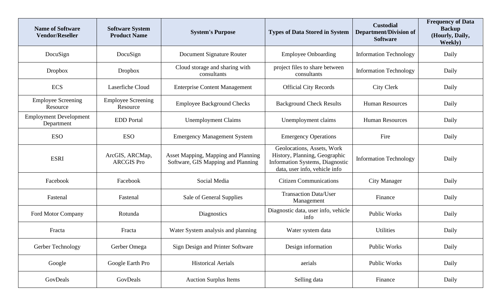| <b>Name of Software</b><br><b>Vendor/Reseller</b> | <b>Software System</b><br><b>Product Name</b> | <b>System's Purpose</b>                                                   | <b>Types of Data Stored in System</b>                                                                                                  | <b>Custodial</b><br><b>Department/Division of</b><br><b>Software</b> | <b>Frequency of Data</b><br><b>Backup</b><br>(Hourly, Daily,<br><b>Weekly</b> ) |
|---------------------------------------------------|-----------------------------------------------|---------------------------------------------------------------------------|----------------------------------------------------------------------------------------------------------------------------------------|----------------------------------------------------------------------|---------------------------------------------------------------------------------|
| DocuSign                                          | DocuSign                                      | Document Signature Router                                                 | <b>Employee Onboarding</b>                                                                                                             | <b>Information Technology</b>                                        | Daily                                                                           |
| <b>Dropbox</b>                                    | <b>Dropbox</b>                                | Cloud storage and sharing with<br>consultants                             | project files to share between<br>consultants                                                                                          | <b>Information Technology</b>                                        | Daily                                                                           |
| <b>ECS</b>                                        | <b>Laserfiche Cloud</b>                       | <b>Enterprise Content Management</b>                                      | <b>Official City Records</b>                                                                                                           | City Clerk                                                           | Daily                                                                           |
| <b>Employee Screening</b><br>Resource             | <b>Employee Screening</b><br>Resource         | <b>Employee Background Checks</b>                                         | <b>Background Check Results</b>                                                                                                        | <b>Human Resources</b>                                               | Daily                                                                           |
| <b>Employment Development</b><br>Department       | <b>EDD</b> Portal                             | <b>Unemployment Claims</b>                                                | Unemployment claims                                                                                                                    | <b>Human Resources</b>                                               | Daily                                                                           |
| <b>ESO</b>                                        | <b>ESO</b>                                    | <b>Emergency Management System</b>                                        | <b>Emergency Operations</b>                                                                                                            | Fire                                                                 | Daily                                                                           |
| <b>ESRI</b>                                       | ArcGIS, ARCMap,<br><b>ARCGIS Pro</b>          | Asset Mapping, Mapping and Planning<br>Software, GIS Mapping and Planning | Geolocations, Assets, Work<br>History, Planning, Geographic<br><b>Information Systems, Diagnostic</b><br>data, user info, vehicle info | <b>Information Technology</b>                                        | Daily                                                                           |
| Facebook                                          | Facebook                                      | Social Media                                                              | <b>Citizen Communications</b>                                                                                                          | <b>City Manager</b>                                                  | Daily                                                                           |
| Fastenal                                          | Fastenal                                      | Sale of General Supplies                                                  | <b>Transaction Data/User</b><br>Management                                                                                             | Finance                                                              | Daily                                                                           |
| Ford Motor Company                                | Rotunda                                       | Diagnostics                                                               | Diagnostic data, user info, vehicle<br>info                                                                                            | <b>Public Works</b>                                                  | Daily                                                                           |
| Fracta                                            | Fracta                                        | Water System analysis and planning                                        | Water system data                                                                                                                      | <b>Utilities</b>                                                     | Daily                                                                           |
| Gerber Technology                                 | Gerber Omega                                  | Sign Design and Printer Software                                          | Design information                                                                                                                     | <b>Public Works</b>                                                  | Daily                                                                           |
| Google                                            | Google Earth Pro                              | <b>Historical Aerials</b>                                                 | aerials                                                                                                                                | <b>Public Works</b>                                                  | Daily                                                                           |
| GovDeals                                          | GovDeals                                      | <b>Auction Surplus Items</b>                                              | Selling data                                                                                                                           | Finance                                                              | Daily                                                                           |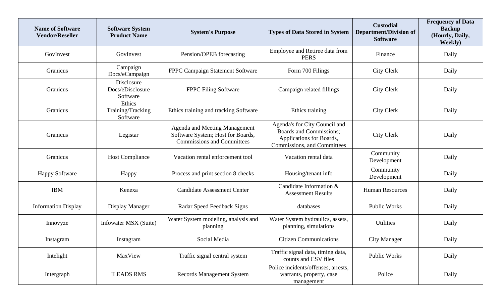| <b>Name of Software</b><br><b>Vendor/Reseller</b> | <b>Software System</b><br><b>Product Name</b> | <b>System's Purpose</b>                                                                                        | <b>Types of Data Stored in System</b>                                                                               | <b>Custodial</b><br><b>Department/Division of</b><br><b>Software</b> | <b>Frequency of Data</b><br><b>Backup</b><br>(Hourly, Daily,<br>Weekly) |
|---------------------------------------------------|-----------------------------------------------|----------------------------------------------------------------------------------------------------------------|---------------------------------------------------------------------------------------------------------------------|----------------------------------------------------------------------|-------------------------------------------------------------------------|
| GovInvest                                         | GovInvest                                     | Pension/OPEB forecasting                                                                                       | Employee and Retiree data from<br><b>PERS</b>                                                                       | Finance                                                              | Daily                                                                   |
| Granicus                                          | Campaign<br>Docs/eCampaign                    | FPPC Campaign Statement Software                                                                               | Form 700 Filings                                                                                                    | <b>City Clerk</b>                                                    | Daily                                                                   |
| Granicus                                          | Disclosure<br>Docs/eDisclosure<br>Software    | <b>FPPC Filing Software</b>                                                                                    | Campaign related fillings                                                                                           | <b>City Clerk</b>                                                    | Daily                                                                   |
| Granicus                                          | Ethics<br>Training/Tracking<br>Software       | Ethics training and tracking Software                                                                          | Ethics training                                                                                                     | <b>City Clerk</b>                                                    | Daily                                                                   |
| Granicus                                          | Legistar                                      | <b>Agenda and Meeting Management</b><br>Software System; Host for Boards,<br><b>Commissions and Committees</b> | Agenda's for City Council and<br>Boards and Commissions;<br>Applications for Boards,<br>Commissions, and Committees | <b>City Clerk</b>                                                    | Daily                                                                   |
| Granicus                                          | <b>Host Compliance</b>                        | Vacation rental enforcement tool                                                                               | Vacation rental data                                                                                                | Community<br>Development                                             | Daily                                                                   |
| <b>Happy Software</b>                             | Happy                                         | Process and print section 8 checks                                                                             | Housing/tenant info                                                                                                 | Community<br>Development                                             | Daily                                                                   |
| <b>IBM</b>                                        | Kenexa                                        | <b>Candidate Assessment Center</b>                                                                             | Candidate Information &<br><b>Assessment Results</b>                                                                | <b>Human Resources</b>                                               | Daily                                                                   |
| <b>Information Display</b>                        | Display Manager                               | Radar Speed Feedback Signs                                                                                     | databases                                                                                                           | <b>Public Works</b>                                                  | Daily                                                                   |
| Innovyze                                          | Infowater MSX (Suite)                         | Water System modeling, analysis and<br>planning                                                                | Water System hydraulics, assets,<br>planning, simulations                                                           | <b>Utilities</b>                                                     | Daily                                                                   |
| Instagram                                         | Instagram                                     | Social Media                                                                                                   | <b>Citizen Communications</b>                                                                                       | City Manager                                                         | Daily                                                                   |
| Intelight                                         | MaxView                                       | Traffic signal central system                                                                                  | Traffic signal data, timing data,<br>counts and CSV files                                                           | Public Works                                                         | Daily                                                                   |
| Intergraph                                        | <b>ILEADS RMS</b>                             | <b>Records Management System</b>                                                                               | Police incidents/offenses, arrests,<br>warrants, property, case<br>management                                       | Police                                                               | Daily                                                                   |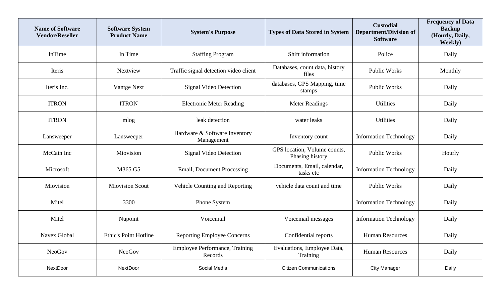| <b>Name of Software</b><br><b>Vendor/Reseller</b> | <b>Software System</b><br><b>Product Name</b> | <b>System's Purpose</b>                     | <b>Types of Data Stored in System</b>           | <b>Custodial</b><br><b>Department/Division of</b><br><b>Software</b> | <b>Frequency of Data</b><br><b>Backup</b><br>(Hourly, Daily,<br>Weekly) |
|---------------------------------------------------|-----------------------------------------------|---------------------------------------------|-------------------------------------------------|----------------------------------------------------------------------|-------------------------------------------------------------------------|
| InTime                                            | In Time                                       | <b>Staffing Program</b>                     | Shift information                               | Police                                                               | Daily                                                                   |
| Iteris                                            | <b>Nextview</b>                               | Traffic signal detection video client       | Databases, count data, history<br>files         | <b>Public Works</b>                                                  | Monthly                                                                 |
| Iteris Inc.                                       | Vantge Next                                   | Signal Video Detection                      | databases, GPS Mapping, time<br>stamps          | <b>Public Works</b>                                                  | Daily                                                                   |
| <b>ITRON</b>                                      | <b>ITRON</b>                                  | <b>Electronic Meter Reading</b>             | <b>Meter Readings</b>                           | <b>Utilities</b>                                                     | Daily                                                                   |
| <b>ITRON</b>                                      | mlog                                          | leak detection                              | water leaks                                     | <b>Utilities</b>                                                     | Daily                                                                   |
| Lansweeper                                        | Lansweeper                                    | Hardware & Software Inventory<br>Management | Inventory count                                 | <b>Information Technology</b>                                        | Daily                                                                   |
| McCain Inc                                        | Miovision                                     | <b>Signal Video Detection</b>               | GPS location, Volume counts,<br>Phasing history | <b>Public Works</b>                                                  | Hourly                                                                  |
| Microsoft                                         | M365 G5                                       | <b>Email, Document Processing</b>           | Documents, Email, calendar,<br>tasks etc        | <b>Information Technology</b>                                        | Daily                                                                   |
| Miovision                                         | <b>Miovision Scout</b>                        | Vehicle Counting and Reporting              | vehicle data count and time                     | <b>Public Works</b>                                                  | Daily                                                                   |
| Mitel                                             | 3300                                          | Phone System                                |                                                 | <b>Information Technology</b>                                        | Daily                                                                   |
| Mitel                                             | Nupoint                                       | Voicemail                                   | Voicemail messages                              | <b>Information Technology</b>                                        | Daily                                                                   |
| Navex Global                                      | <b>Ethic's Point Hotline</b>                  | <b>Reporting Employee Concerns</b>          | Confidential reports                            | <b>Human Resources</b>                                               | Daily                                                                   |
| <b>NeoGov</b>                                     | NeoGov                                        | Employee Performance, Training<br>Records   | Evaluations, Employee Data,<br>Training         | <b>Human Resources</b>                                               | Daily                                                                   |
| <b>NextDoor</b>                                   | <b>NextDoor</b>                               | Social Media                                | <b>Citizen Communications</b>                   | <b>City Manager</b>                                                  | Daily                                                                   |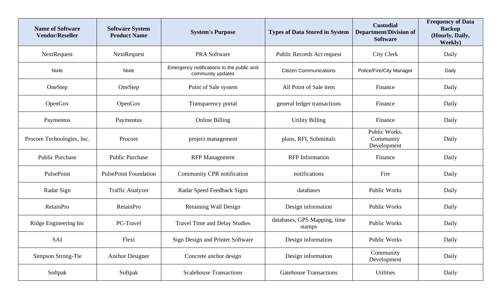| <b>Name of Software</b><br><b>Vendor/Reseller</b> | <b>Software System</b><br><b>Product Name</b> | <b>System's Purpose</b>                                        | <b>Types of Data Stored in System</b>  | <b>Custodial</b><br><b>Department/Division of</b><br><b>Software</b> | <b>Frequency of Data</b><br><b>Backup</b><br>(Hourly, Daily,<br><b>Weekly</b> ) |
|---------------------------------------------------|-----------------------------------------------|----------------------------------------------------------------|----------------------------------------|----------------------------------------------------------------------|---------------------------------------------------------------------------------|
| NextRequest                                       | NextRequest                                   | <b>PRA Software</b>                                            | Public Records Act request             | <b>City Clerk</b>                                                    | Daily                                                                           |
| Nixle                                             | Nixle                                         | Emergency notifications to the public and<br>community updates | <b>Citizen Communications</b>          | Police/Fire/City Manager                                             | Daily                                                                           |
| OneStep                                           | OneStep                                       | Point of Sale system                                           | All Point of Sale item                 | Finance                                                              | Daily                                                                           |
| OpenGov                                           | OpenGov                                       | Transparency portal                                            | general ledger transactions            | Finance                                                              | Daily                                                                           |
| Paymentus                                         | Paymentus                                     | <b>Online Billing</b>                                          | <b>Utility Billing</b>                 | Finance                                                              | Daily                                                                           |
| Procore Technologies, Inc.                        | Procore                                       | project management                                             | plans, RFI, Submittals                 | Public Works,<br>Community<br>Development                            | Daily                                                                           |
| <b>Public Purchase</b>                            | <b>Public Purchase</b>                        | <b>RFP</b> Management                                          | <b>RFP</b> Information                 | Finance                                                              | Daily                                                                           |
| PulsePoint                                        | <b>PulsePoint Foundation</b>                  | Community CPR notification                                     | notifications                          | Fire                                                                 | Daily                                                                           |
| Radar Sign                                        | <b>Traffic Analyzer</b>                       | Radar Speed Feedback Signs                                     | databases                              | <b>Public Works</b>                                                  | Daily                                                                           |
| <b>RetainPro</b>                                  | <b>RetainPro</b>                              | <b>Retaining Wall Design</b>                                   | Design information                     | Public Works                                                         | Daily                                                                           |
| Ridge Engineering Inc                             | PC-Travel                                     | <b>Travel Time and Delay Studies</b>                           | databases, GPS Mapping, time<br>stamps | Public Works                                                         | Daily                                                                           |
| SAI                                               | Flexi                                         | Sign Design and Printer Software                               | Design information                     | Public Works                                                         | Daily                                                                           |
| Simpson Strong-Tie                                | <b>Anchor Designer</b>                        | Concrete anchor design                                         | Design information                     | Community<br>Development                                             | Daily                                                                           |
| Softpak                                           | Softpak                                       | <b>Scalehouse Transactions</b>                                 | <b>Gatehouse Transactions</b>          | Utilities                                                            | Daily                                                                           |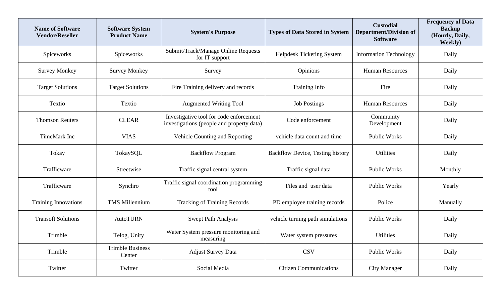| <b>Name of Software</b><br><b>Vendor/Reseller</b> | <b>Software System</b><br><b>Product Name</b> | <b>System's Purpose</b>                                                              | <b>Types of Data Stored in System</b>   | <b>Custodial</b><br><b>Department/Division of</b><br><b>Software</b> | <b>Frequency of Data</b><br><b>Backup</b><br>(Hourly, Daily,<br>Weekly) |
|---------------------------------------------------|-----------------------------------------------|--------------------------------------------------------------------------------------|-----------------------------------------|----------------------------------------------------------------------|-------------------------------------------------------------------------|
| Spiceworks                                        | Spiceworks                                    | Submit/Track/Manage Online Requests<br>for IT support                                | <b>Helpdesk Ticketing System</b>        | <b>Information Technology</b>                                        | Daily                                                                   |
| <b>Survey Monkey</b>                              | <b>Survey Monkey</b>                          | Survey                                                                               | Opinions                                | <b>Human Resources</b>                                               | Daily                                                                   |
| <b>Target Solutions</b>                           | <b>Target Solutions</b>                       | Fire Training delivery and records                                                   | Training Info                           | Fire                                                                 | Daily                                                                   |
| Textio                                            | Textio                                        | <b>Augmented Writing Tool</b>                                                        | <b>Job Postings</b>                     | <b>Human Resources</b>                                               | Daily                                                                   |
| <b>Thomson Reuters</b>                            | <b>CLEAR</b>                                  | Investigative tool for code enforcement<br>investigations (people and property data) | Code enforcement                        | Community<br>Development                                             | Daily                                                                   |
| TimeMark Inc                                      | <b>VIAS</b>                                   | Vehicle Counting and Reporting                                                       | vehicle data count and time             | <b>Public Works</b>                                                  | Daily                                                                   |
| Tokay                                             | TokaySQL                                      | <b>Backflow Program</b>                                                              | <b>Backflow Device, Testing history</b> | <b>Utilities</b>                                                     | Daily                                                                   |
| Trafficware                                       | Streetwise                                    | Traffic signal central system                                                        | Traffic signal data                     | <b>Public Works</b>                                                  | Monthly                                                                 |
| Trafficware                                       | Synchro                                       | Traffic signal coordination programming<br>tool                                      | Files and user data                     | <b>Public Works</b>                                                  | Yearly                                                                  |
| <b>Training Innovations</b>                       | <b>TMS Millennium</b>                         | <b>Tracking of Training Records</b>                                                  | PD employee training records            | Police                                                               | Manually                                                                |
| <b>Transoft Solutions</b>                         | <b>AutoTURN</b>                               | <b>Swept Path Analysis</b>                                                           | vehicle turning path simulations        | <b>Public Works</b>                                                  | Daily                                                                   |
| Trimble                                           | Telog, Unity                                  | Water System pressure monitoring and<br>measuring                                    | Water system pressures                  | <b>Utilities</b>                                                     | Daily                                                                   |
| Trimble                                           | <b>Trimble Business</b><br>Center             | <b>Adjust Survey Data</b>                                                            | <b>CSV</b>                              | Public Works                                                         | Daily                                                                   |
| Twitter                                           | Twitter                                       | Social Media                                                                         | <b>Citizen Communications</b>           | <b>City Manager</b>                                                  | Daily                                                                   |